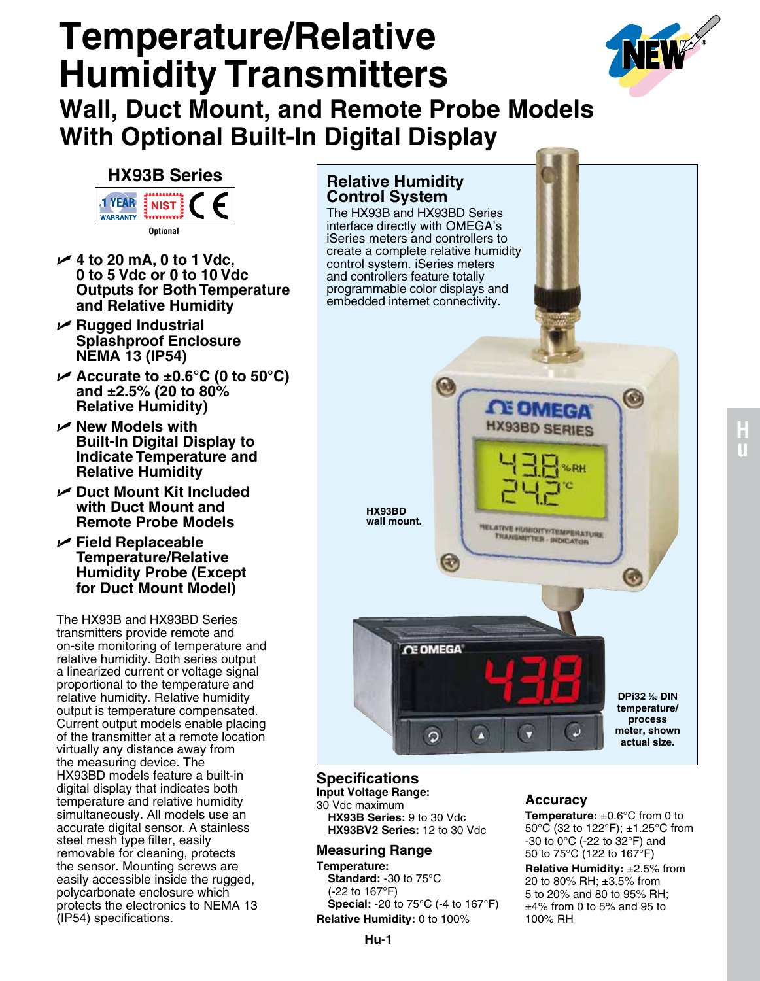# **Temperature/Relative Humidity Transmitters Wall, Duct Mount, and Remote Probe Models With Optional Built-In Digital Display**



## **HX93B Series**

**YEAR NIST WARRANTY** 

**Optional**

- U **4 to 20 mA, 0 to 1 Vdc, 0 to 5 Vdc or 0 to 10 Vdc Outputs for Both Temperature and Relative Humidity**
- U **Rugged Industrial Splashproof Enclosure NEMA 13 (IP54)**
- U **Accurate to ±0.6°C (0 to 50°C) and ±2.5% (20 to 80% Relative Humidity)**
- U **New Models with Built-In Digital Display to Indicate Temperature and Relative Humidity**
- U **Duct Mount Kit Included with Duct Mount and Remote Probe Models**
- U **Field Replaceable Temperature/Relative Humidity Probe (Except for Duct Mount Model)**

The HX93B and HX93BD Series transmitters provide remote and on-site monitoring of temperature and relative humidity. Both series output a linearized current or voltage signal proportional to the temperature and relative humidity. Relative humidity output is temperature compensated. Current output models enable placing of the transmitter at a remote location virtually any distance away from the measuring device. The HX93BD models feature a built-in digital display that indicates both temperature and relative humidity simultaneously. All models use an accurate digital sensor. A stainless steel mesh type filter, easily removable for cleaning, protects the sensor. Mounting screws are easily accessible inside the rugged, polycarbonate enclosure which protects the electronics to NEMA 13 (IP54) specifications.

# **Relative Humidity Control System** The HX93B and HX93BD Series interface directly with OMEGA's iSeries meters and controllers to create a complete relative humidity control system. iSeries meters and controllers feature totally programmable color displays and embedded internet connectivity.  $\bullet$ **LE OMEGA HX93BD SERIES HX93BD wall mount.RELATIVE HUMIDITY/TEMPERATURE** TRANSMITTER - INDICATOR € G **CE OMEGA DPi32 1 ⁄32 DIN temperature/ process**  Ø **meter, shown**  U  $\overline{Q}$ n **actual size.**

## **Specifications**

**Input Voltage Range:**  30 Vdc maximum **HX93B Series:** 9 to 30 Vdc **HX93BV2 Series:** 12 to 30 Vdc

### **Measuring Range**

**Temperature: Standard:** -30 to 75°C (-22 to 167°F) **Special:** -20 to 75°C (-4 to 167°F) **Relative Humidity:** 0 to 100%

#### **Accuracy**

**Temperature:** ±0.6°C from 0 to 50°C (32 to 122°F); ±1.25°C from -30 to 0°C (-22 to 32°F) and 50 to 75°C (122 to 167°F)

**Relative Humidity:** ±2.5% from 20 to 80% RH; ±3.5% from 5 to 20% and 80 to 95% RH; ±4% from 0 to 5% and 95 to 100% RH